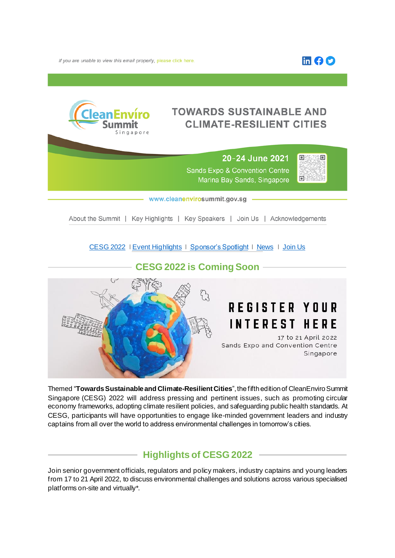

If you are unable to view this email properly, please click here.

# **TOWARDS SUSTAINABLE AND CLIMATE-RESILIENT CITIES**



## 20-24 June 2021 **Sands Expo & Convention Centre** Marina Bay Sands, Singapore



www.cleanenvirosummit.gov.sg

About the Summit | Key Highlights | Key Speakers | Join Us | Acknowledgements

[CESG 2022](https://www.cleanenvirosummit.gov.sg/cesg-catalyst-2021/about-cesg-catalyst-2021?utm_source=2021_eDM&utm_medium=eDM_Header&utm_campaign=CESG+Catalyst_Thank+You_About) I [Event Highlights](https://www.cleanenvirosummit.gov.sg/cesg-catalyst-2021/about-cesg-catalyst-2021?utm_source=2021_eDM&utm_medium=eDM_Header&utm_campaign=CESG+Catlayst_Thank+You_Acknowledgements) I [Sponsor's Spotlight](https://www.cleanenvirosummit.gov.sg/cesg-catalyst-2021/about-cesg-catalyst-2021?utm_source=2021_eDM&utm_medium=eDM_Header&utm_campaign=CESG+Catlayst_Thank+You_Acknowledgements) I [News](https://www.cleanenvirosummit.gov.sg/cesg-catalyst-2021/about-cesg-catalyst-2021?utm_source=2021_eDM&utm_medium=eDM_Header&utm_campaign=CESG+Catlayst_Thank+You_Acknowledgements) I [Join Us](https://www.cleanenvirosummit.gov.sg/cesg-catalyst-2021/about-cesg-catalyst-2021?utm_source=2021_eDM&utm_medium=eDM_Header&utm_campaign=CESG+Catlayst_Thank+You_Acknowledgements)

# **CESG 2022 is Coming Soon**

# **REGISTER YOUR INTEREST HERE**

17 to 21 April 2022 Sands Expo and Convention Centre Singapore

Themed "**Towards Sustainable and Climate-Resilient Cities**", the fifth edition of CleanEnviro Summit Singapore (CESG) 2022 will address pressing and pertinent issues, such as promoting circular economy frameworks, adopting climate resilient policies, and safeguarding public health standards. At CESG, participants will have opportunities to engage like-minded government leaders and industry captains from all over the world to address environmental challenges in tomorrow's cities.

# **Highlights of CESG 2022**

Join senior government officials, regulators and policy makers, industry captains and young leaders from 17 to 21 April 2022, to discuss environmental challenges and solutions across various specialised platforms on-site and virtually\*.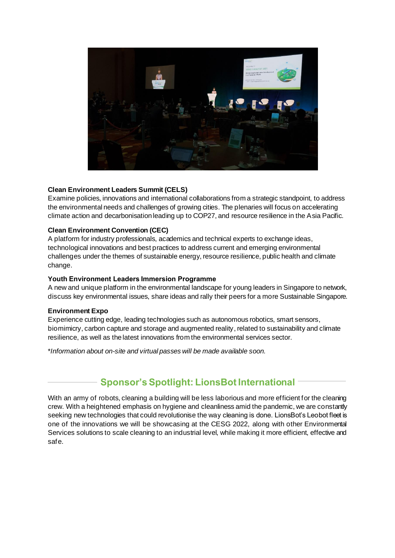

#### **Clean Environment Leaders Summit (CELS)**

Examine policies, innovations and international collaborations from a strategic standpoint, to address the environmental needs and challenges of growing cities. The plenaries will focus on accelerating climate action and decarbonisation leading up to COP27, and resource resilience in the Asia Pacific.

#### **Clean Environment Convention (CEC)**

A platform for industry professionals, academics and technical experts to exchange ideas, technological innovations and best practices to address current and emerging environmental challenges under the themes of sustainable energy, resource resilience, public health and climate change.

#### **Youth Environment Leaders Immersion Programme**

A new and unique platform in the environmental landscape for young leaders in Singapore to network, discuss key environmental issues, share ideas and rally their peers for a more Sustainable Singapore.

#### **Environment Expo**

Experience cutting edge, leading technologies such as autonomous robotics, smart sensors, biomimicry, carbon capture and storage and augmented reality, related to sustainability and climate resilience, as well as the latest innovations from the environmental services sector.

\**Information about on-site and virtual passes will be made available soon.*

# **Sponsor's Spotlight: LionsBot International**

With an army of robots, cleaning a building will be less laborious and more efficient for the cleaning crew. With a heightened emphasis on hygiene and cleanliness amid the pandemic, we are constantly seeking new technologies that could revolutionise the way cleaning is done. LionsBot's Leobot fleet is one of the innovations we will be showcasing at the CESG 2022, along with other Environmental Services solutions to scale cleaning to an industrial level, while making it more efficient, effective and safe.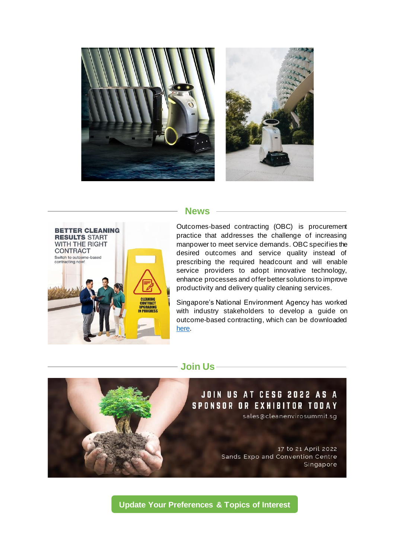



### **News**



Outcomes-based contracting (OBC) is procurement practice that addresses the challenge of increasing manpower to meet service demands. OBC specifies the desired outcomes and service quality instead of prescribing the required headcount and will enable service providers to adopt innovative technology, enhance processes and offer better solutions to improve productivity and delivery quality cleaning services.

Singapore's National Environment Agency has worked with industry stakeholders to develop a guide on outcome-based contracting, which can be downloaded **here** 

### **Join Us**



**[Update Your Preferences](https://form.gov.sg/#!/60c1bfdeeffdaf0011c951ea) & Topics of Interest**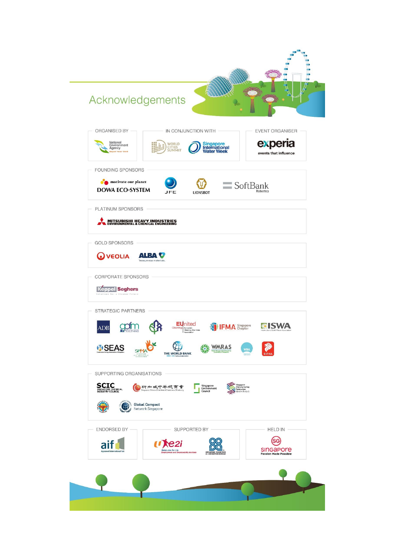### MA Acknowledgements ORGANISED BY IN CONJUNCTION WITH EVENT ORGANISER experia National<br>Environment<br>Agency WORLD<br>CITIES<br>SUMMIT Singapore<br>International<br>Water Week events that influence FOUNDING SPONSORS motivate our planet  $\mathfrak{P}$  $\equiv$  SoftBank **DOWA ECO-SYSTEM LIONSBOT** JFE PLATINUM SPONSORS MITSUBISHI HEAVY INDUSTRIES **GOLD SPONSORS ALBA V Q** VEOLIA CORPORATE SPONSORS **Keppel Seghers** STRATEGIC PARTNERS EUnited<br>
Cleaning<br>
Deaning Macrims gofm **EXISWA IFMA** Singapore **ADB** Z **USEAS**  $\bigoplus$ **WMRAS SPM** THE WORLD BANK SUPPORTING ORGANISATIONS **SCIC** Singapore<br>Manufacturing<br>Federation<br>annufacturing the Co ●新加坡中年總商會 Singapore<br>Environment **Global Compact**<br>Network Singapore (Æ ENDORSED BY SUPPORTED BY HELD IN (sc) aif<sup>1</sup>  $\mathbf{U}$ e2i SINGAPOre